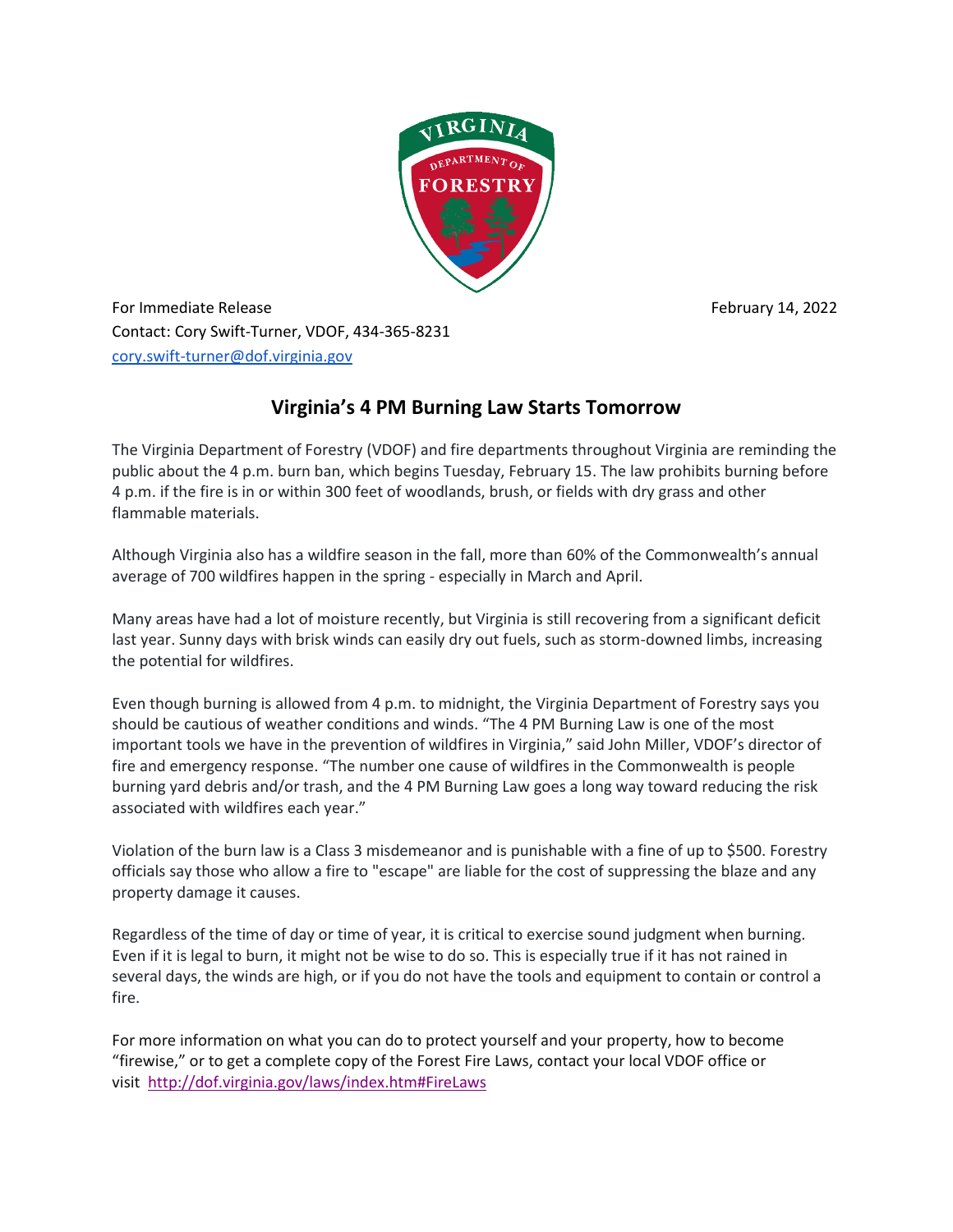

For Immediate Release February 14, 2022 Contact: Cory Swift-Turner, VDOF, 434-365-8231 [cory.swift-turner@dof.virginia.gov](mailto:cory.swift-turner@dof.virginia.gov)

## **Virginia's 4 PM Burning Law Starts Tomorrow**

The Virginia Department of Forestry (VDOF) and fire departments throughout Virginia are reminding the public about the 4 p.m. burn ban, which begins Tuesday, February 15. The law prohibits burning before 4 p.m. if the fire is in or within 300 feet of woodlands, brush, or fields with dry grass and other flammable materials.

Although Virginia also has a wildfire season in the fall, more than 60% of the Commonwealth's annual average of 700 wildfires happen in the spring - especially in March and April.

Many areas have had a lot of moisture recently, but Virginia is still recovering from a significant deficit last year. Sunny days with brisk winds can easily dry out fuels, such as storm-downed limbs, increasing the potential for wildfires.

Even though burning is allowed from 4 p.m. to midnight, the Virginia Department of Forestry says you should be cautious of weather conditions and winds. "The 4 PM Burning Law is one of the most important tools we have in the prevention of wildfires in Virginia," said John Miller, VDOF's director of fire and emergency response. "The number one cause of wildfires in the Commonwealth is people burning yard debris and/or trash, and the 4 PM Burning Law goes a long way toward reducing the risk associated with wildfires each year."

Violation of the burn law is a Class 3 misdemeanor and is punishable with a fine of up to \$500. Forestry officials say those who allow a fire to "escape" are liable for the cost of suppressing the blaze and any property damage it causes.

Regardless of the time of day or time of year, it is critical to exercise sound judgment when burning. Even if it is legal to burn, it might not be wise to do so. This is especially true if it has not rained in several days, the winds are high, or if you do not have the tools and equipment to contain or control a fire.

For more information on what you can do to protect yourself and your property, how to become "firewise," or to get a complete copy of the Forest Fire Laws, contact your local VDOF office or visit <http://dof.virginia.gov/laws/index.htm#FireLaws>